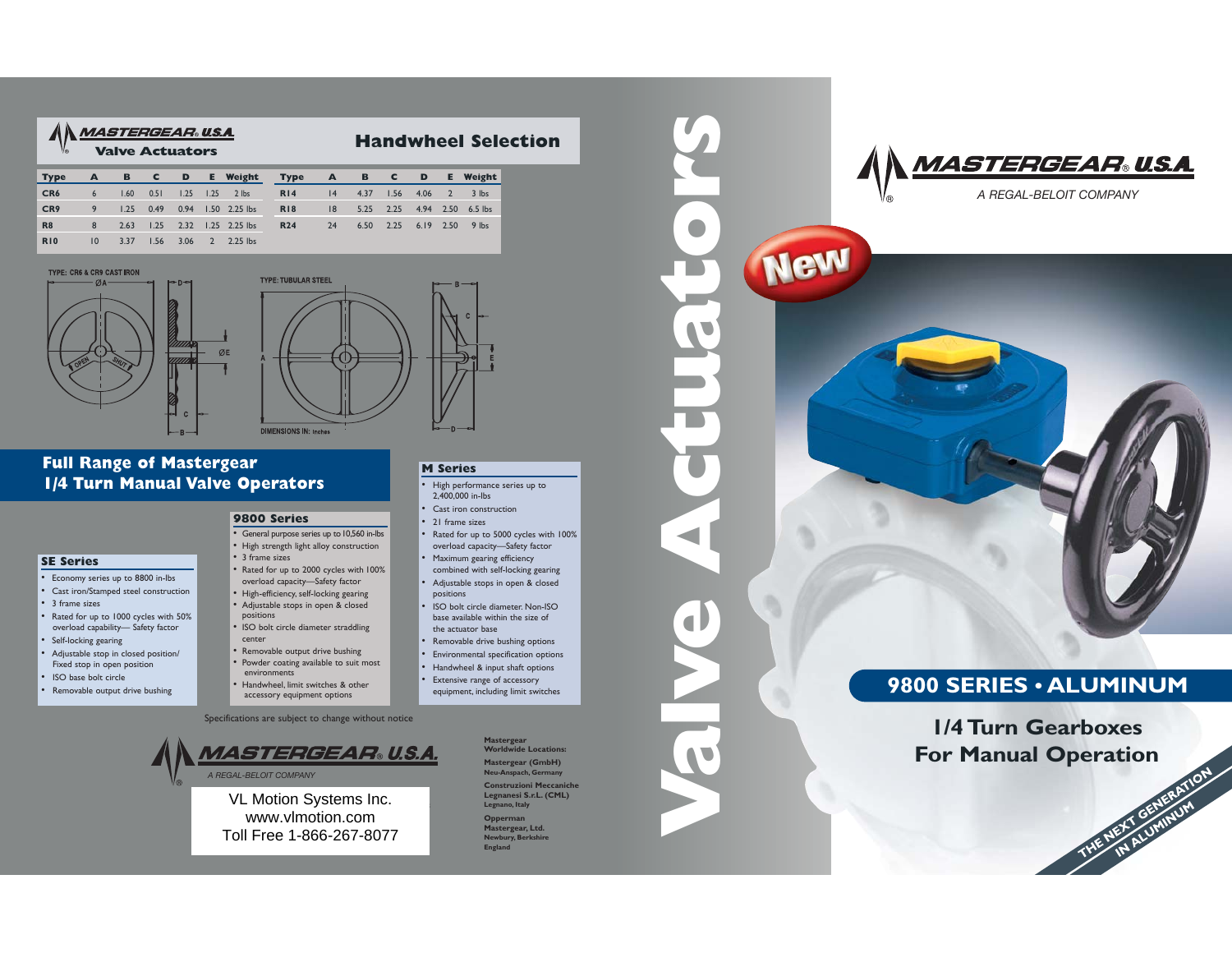| <b>Type</b>     |              |      |  | A B C D E Weight Type          |            | A B C D |              |  | <b>E</b> Weight             |
|-----------------|--------------|------|--|--------------------------------|------------|---------|--------------|--|-----------------------------|
| CR <sub>6</sub> | $6^{\circ}$  | 1.60 |  | 0.51 1.25 1.25 2 lbs           | <b>R14</b> |         | $14 \t 4.37$ |  | $1.56$ 4.06 2 3 lbs         |
| CR <sub>9</sub> |              |      |  | 9 1.25 0.49 0.94 1.50 2.25 lbs | <b>RI8</b> | 8       |              |  | 5.25 2.25 4.94 2.50 6.5 lbs |
| <b>R8</b>       | 8            |      |  | 2.63 1.25 2.32 1.25 2.25 lbs   | <b>R24</b> | 24      |              |  | 6.50 2.25 6.19 2.50 9 lbs   |
| <b>R10</b>      | $10^{\circ}$ | 3.37 |  | $1.56$ $3.06$ $2$ $2.25$ lbs   |            |         |              |  |                             |





**9800 Series**

• 3 frame sizes

positions

environments

center

## **Full Range of Mastergear 1/4 Turn Manual Valve Operators**

## **SE Series**

- Economy series up to 8800 in-lbs
- Cast iron/Stamped steel construction
- 3 frame sizes
- Rated for up to 1000 cycles with 50% overload capability— Safety factor
- Self-locking gearing
- Adjustable stop in closed position/ Fixed stop in open position
- ISO base bolt circle
- Removable output drive bushing

# **M Series**

- High performance series up to 2,400,000 in-lbs
- •Cast iron construction
- 21 frame sizes

•

- Rated for up to 5000 cycles with 100% overload capacity—Safety factor
- Maximum gearing efficiency combined with self-locking gearing
- Adjustable stops in open & closed positions
- ISO bolt circle diameter. Non-ISO base available within the size ofthe actuator base
- Removable drive bushing options •
- •Environmental specification options
- •Handwheel & input shaft options
- • Extensive range of accessory equipment, including limit switches

Specifications are subject to change without notice

• General purpose series up to 10,560 in-lbs • High strength light alloy construction

 • Rated for up to 2000 cycles with 100% overload capacity—Safety factor • High-efficiency, self-locking gearing • Adjustable stops in open & closed

• ISO bolt circle diameter straddling

• Removable output drive bushing • Powder coating available to suit most

• Handwheel, limit switches & other accessory equipment options

VL Motion Systems Inc. www.vlmotion.com Toll Free 1-866-267-8077



**England**